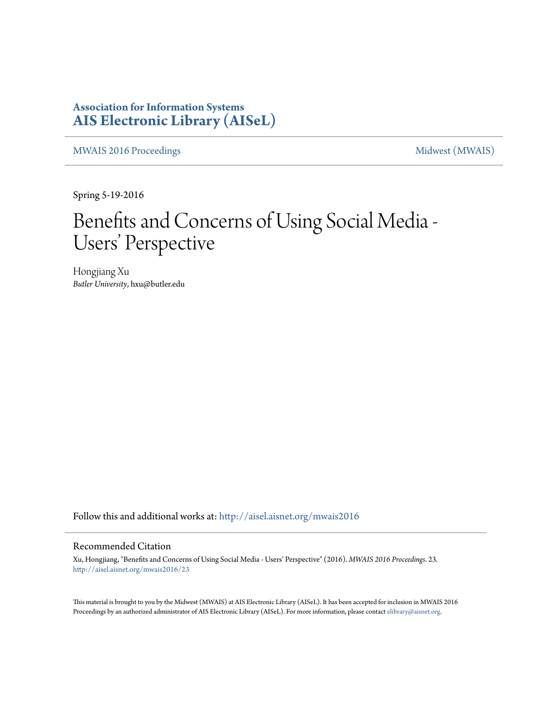### **Association for Information Systems [AIS Electronic Library \(AISeL\)](http://aisel.aisnet.org?utm_source=aisel.aisnet.org%2Fmwais2016%2F23&utm_medium=PDF&utm_campaign=PDFCoverPages)**

[MWAIS 2016 Proceedings](http://aisel.aisnet.org/mwais2016?utm_source=aisel.aisnet.org%2Fmwais2016%2F23&utm_medium=PDF&utm_campaign=PDFCoverPages) and the [Midwest \(MWAIS\)](http://aisel.aisnet.org/mwais?utm_source=aisel.aisnet.org%2Fmwais2016%2F23&utm_medium=PDF&utm_campaign=PDFCoverPages)

Spring 5-19-2016

# Benefits and Concerns of Using Social Media - Users' Perspective

Hongjiang Xu *Butler University*, hxu@butler.edu

Follow this and additional works at: [http://aisel.aisnet.org/mwais2016](http://aisel.aisnet.org/mwais2016?utm_source=aisel.aisnet.org%2Fmwais2016%2F23&utm_medium=PDF&utm_campaign=PDFCoverPages)

#### Recommended Citation

Xu, Hongjiang, "Benefits and Concerns of Using Social Media - Users' Perspective" (2016). *MWAIS 2016 Proceedings*. 23. [http://aisel.aisnet.org/mwais2016/23](http://aisel.aisnet.org/mwais2016/23?utm_source=aisel.aisnet.org%2Fmwais2016%2F23&utm_medium=PDF&utm_campaign=PDFCoverPages)

This material is brought to you by the Midwest (MWAIS) at AIS Electronic Library (AISeL). It has been accepted for inclusion in MWAIS 2016 Proceedings by an authorized administrator of AIS Electronic Library (AISeL). For more information, please contact [elibrary@aisnet.org](mailto:elibrary@aisnet.org%3E).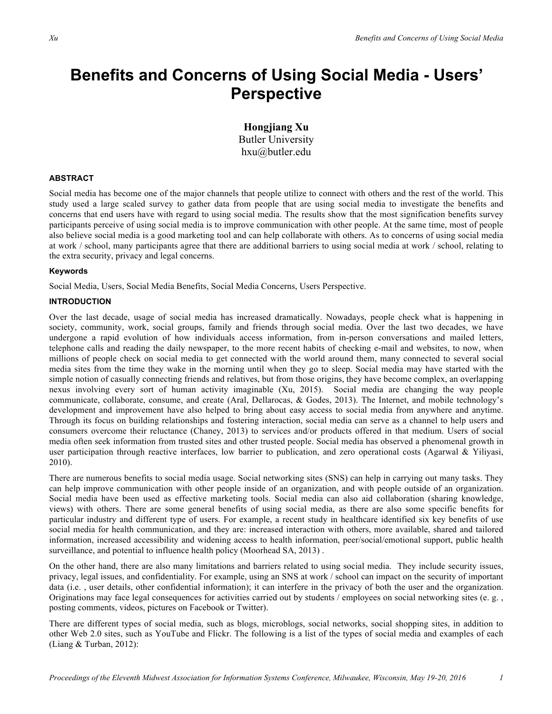## **Benefits and Concerns of Using Social Media - Users' Perspective**

**Hongjiang Xu** Butler University hxu@butler.edu

#### **ABSTRACT**

Social media has become one of the major channels that people utilize to connect with others and the rest of the world. This study used a large scaled survey to gather data from people that are using social media to investigate the benefits and concerns that end users have with regard to using social media. The results show that the most signification benefits survey participants perceive of using social media is to improve communication with other people. At the same time, most of people also believe social media is a good marketing tool and can help collaborate with others. As to concerns of using social media at work / school, many participants agree that there are additional barriers to using social media at work / school, relating to the extra security, privacy and legal concerns.

#### **Keywords**

Social Media, Users, Social Media Benefits, Social Media Concerns, Users Perspective.

#### **INTRODUCTION**

Over the last decade, usage of social media has increased dramatically. Nowadays, people check what is happening in society, community, work, social groups, family and friends through social media. Over the last two decades, we have undergone a rapid evolution of how individuals access information, from in-person conversations and mailed letters, telephone calls and reading the daily newspaper, to the more recent habits of checking e-mail and websites, to now, when millions of people check on social media to get connected with the world around them, many connected to several social media sites from the time they wake in the morning until when they go to sleep. Social media may have started with the simple notion of casually connecting friends and relatives, but from those origins, they have become complex, an overlapping nexus involving every sort of human activity imaginable (Xu, 2015). Social media are changing the way people communicate, collaborate, consume, and create (Aral, Dellarocas, & Godes, 2013). The Internet, and mobile technology's development and improvement have also helped to bring about easy access to social media from anywhere and anytime. Through its focus on building relationships and fostering interaction, social media can serve as a channel to help users and consumers overcome their reluctance (Chaney, 2013) to services and/or products offered in that medium. Users of social media often seek information from trusted sites and other trusted people. Social media has observed a phenomenal growth in user participation through reactive interfaces, low barrier to publication, and zero operational costs (Agarwal  $\&$  Yiliyasi, 2010).

There are numerous benefits to social media usage. Social networking sites (SNS) can help in carrying out many tasks. They can help improve communication with other people inside of an organization, and with people outside of an organization. Social media have been used as effective marketing tools. Social media can also aid collaboration (sharing knowledge, views) with others. There are some general benefits of using social media, as there are also some specific benefits for particular industry and different type of users. For example, a recent study in healthcare identified six key benefits of use social media for health communication, and they are: increased interaction with others, more available, shared and tailored information, increased accessibility and widening access to health information, peer/social/emotional support, public health surveillance, and potential to influence health policy (Moorhead SA, 2013).

On the other hand, there are also many limitations and barriers related to using social media. They include security issues, privacy, legal issues, and confidentiality. For example, using an SNS at work / school can impact on the security of important data (i.e., user details, other confidential information); it can interfere in the privacy of both the user and the organization. Originations may face legal consequences for activities carried out by students / employees on social networking sites (e. g. , posting comments, videos, pictures on Facebook or Twitter).

There are different types of social media, such as blogs, microblogs, social networks, social shopping sites, in addition to other Web 2.0 sites, such as YouTube and Flickr. The following is a list of the types of social media and examples of each (Liang & Turban, 2012):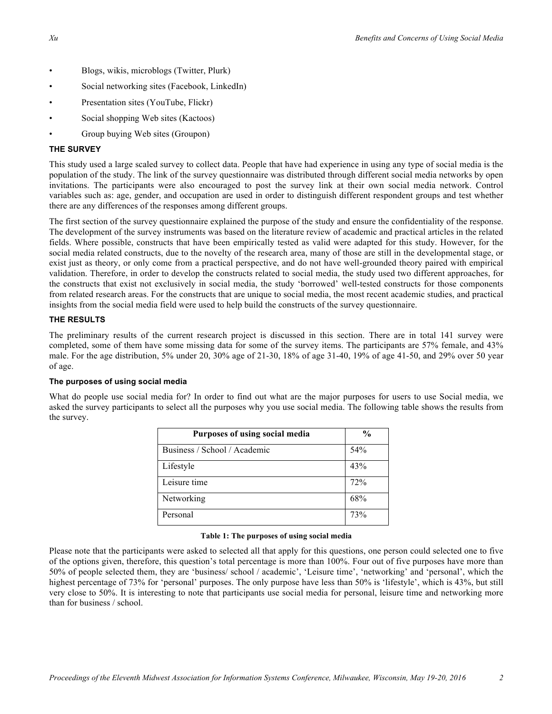- Blogs, wikis, microblogs (Twitter, Plurk)
- Social networking sites (Facebook, LinkedIn)
- Presentation sites (YouTube, Flickr)
- Social shopping Web sites (Kactoos)
- Group buying Web sites (Groupon)

#### **THE SURVEY**

This study used a large scaled survey to collect data. People that have had experience in using any type of social media is the population of the study. The link of the survey questionnaire was distributed through different social media networks by open invitations. The participants were also encouraged to post the survey link at their own social media network. Control variables such as: age, gender, and occupation are used in order to distinguish different respondent groups and test whether there are any differences of the responses among different groups.

The first section of the survey questionnaire explained the purpose of the study and ensure the confidentiality of the response. The development of the survey instruments was based on the literature review of academic and practical articles in the related fields. Where possible, constructs that have been empirically tested as valid were adapted for this study. However, for the social media related constructs, due to the novelty of the research area, many of those are still in the developmental stage, or exist just as theory, or only come from a practical perspective, and do not have well-grounded theory paired with empirical validation. Therefore, in order to develop the constructs related to social media, the study used two different approaches, for the constructs that exist not exclusively in social media, the study 'borrowed' well-tested constructs for those components from related research areas. For the constructs that are unique to social media, the most recent academic studies, and practical insights from the social media field were used to help build the constructs of the survey questionnaire.

#### **THE RESULTS**

The preliminary results of the current research project is discussed in this section. There are in total 141 survey were completed, some of them have some missing data for some of the survey items. The participants are 57% female, and 43% male. For the age distribution, 5% under 20, 30% age of 21-30, 18% of age 31-40, 19% of age 41-50, and 29% over 50 year of age.

#### **The purposes of using social media**

What do people use social media for? In order to find out what are the major purposes for users to use Social media, we asked the survey participants to select all the purposes why you use social media. The following table shows the results from the survey.

| Purposes of using social media | $\frac{6}{9}$ |
|--------------------------------|---------------|
| Business / School / Academic   | 54%           |
| Lifestyle                      | 43%           |
| Leisure time                   | 72%           |
| Networking                     | 68%           |
| Personal                       | 73%           |

#### **Table 1: The purposes of using social media**

Please note that the participants were asked to selected all that apply for this questions, one person could selected one to five of the options given, therefore, this question's total percentage is more than 100%. Four out of five purposes have more than 50% of people selected them, they are 'business/ school / academic', 'Leisure time', 'networking' and 'personal', which the highest percentage of 73% for 'personal' purposes. The only purpose have less than 50% is 'lifestyle', which is 43%, but still very close to 50%. It is interesting to note that participants use social media for personal, leisure time and networking more than for business / school.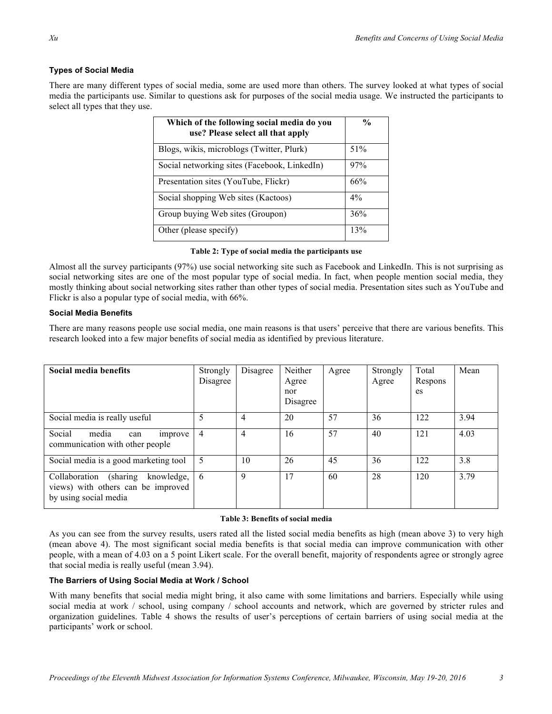#### **Types of Social Media**

There are many different types of social media, some are used more than others. The survey looked at what types of social media the participants use. Similar to questions ask for purposes of the social media usage. We instructed the participants to select all types that they use.

| Which of the following social media do you<br>use? Please select all that apply | $\frac{0}{0}$ |
|---------------------------------------------------------------------------------|---------------|
| Blogs, wikis, microblogs (Twitter, Plurk)                                       | 51%           |
| Social networking sites (Facebook, LinkedIn)                                    | 97%           |
| Presentation sites (YouTube, Flickr)                                            | 66%           |
| Social shopping Web sites (Kactoos)                                             | $4\%$         |
| Group buying Web sites (Groupon)                                                | 36%           |
| Other (please specify)                                                          | 13%           |

#### **Table 2: Type of social media the participants use**

Almost all the survey participants (97%) use social networking site such as Facebook and LinkedIn. This is not surprising as social networking sites are one of the most popular type of social media. In fact, when people mention social media, they mostly thinking about social networking sites rather than other types of social media. Presentation sites such as YouTube and Flickr is also a popular type of social media, with 66%.

#### **Social Media Benefits**

There are many reasons people use social media, one main reasons is that users' perceive that there are various benefits. This research looked into a few major benefits of social media as identified by previous literature.

| Social media benefits                                                                                  | Strongly<br>Disagree | Disagree       | Neither<br>Agree<br>nor<br>Disagree | Agree | Strongly<br>Agree | Total<br>Respons<br>es | Mean |
|--------------------------------------------------------------------------------------------------------|----------------------|----------------|-------------------------------------|-------|-------------------|------------------------|------|
| Social media is really useful                                                                          |                      | 4              | 20                                  | 57    | 36                | 122                    | 3.94 |
| Social<br>media<br>improve<br>can<br>communication with other people                                   | 4                    | $\overline{4}$ | 16                                  | 57    | 40                | 121                    | 4.03 |
| Social media is a good marketing tool                                                                  | 5                    | 10             | 26                                  | 45    | 36                | 122                    | 3.8  |
| (sharing<br>Collaboration<br>knowledge,<br>views) with others can be improved<br>by using social media | 6                    | 9              | 17                                  | 60    | 28                | 120                    | 3.79 |

#### **Table 3: Benefits of social media**

As you can see from the survey results, users rated all the listed social media benefits as high (mean above 3) to very high (mean above 4). The most significant social media benefits is that social media can improve communication with other people, with a mean of 4.03 on a 5 point Likert scale. For the overall benefit, majority of respondents agree or strongly agree that social media is really useful (mean 3.94).

#### **The Barriers of Using Social Media at Work / School**

With many benefits that social media might bring, it also came with some limitations and barriers. Especially while using social media at work / school, using company / school accounts and network, which are governed by stricter rules and organization guidelines. Table 4 shows the results of user's perceptions of certain barriers of using social media at the participants' work or school.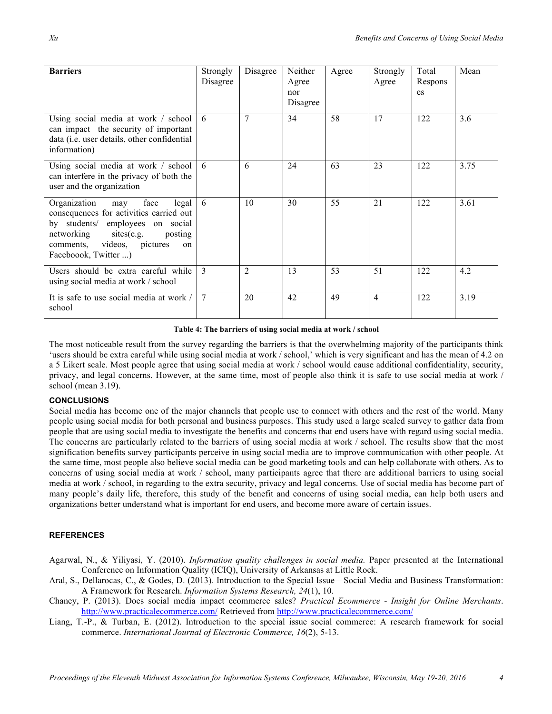| <b>Barriers</b>                                                                                                                                                                                                               | Strongly<br>Disagree | Disagree       | Neither<br>Agree<br>nor<br>Disagree | Agree | Strongly<br>Agree | Total<br>Respons<br>es | Mean |
|-------------------------------------------------------------------------------------------------------------------------------------------------------------------------------------------------------------------------------|----------------------|----------------|-------------------------------------|-------|-------------------|------------------------|------|
| Using social media at work / school<br>can impact the security of important<br>data (i.e. user details, other confidential<br>information)                                                                                    | 6                    | 7              | 34                                  | 58    | 17                | 122                    | 3.6  |
| Using social media at work / school<br>can interfere in the privacy of both the<br>user and the organization                                                                                                                  | 6                    | 6              | 24                                  | 63    | 23                | 122                    | 3.75 |
| Organization<br>face<br>legal<br>may<br>consequences for activities carried out<br>by students/ employees on social<br>sites(e.g.<br>networking<br>posting<br>comments, videos, pictures<br>$\alpha$ n<br>Faceboook, Twitter) | 6                    | 10             | 30                                  | 55    | 21                | 122                    | 3.61 |
| Users should be extra careful while<br>using social media at work / school                                                                                                                                                    | 3                    | $\overline{2}$ | 13                                  | 53    | 51                | 122                    | 4.2  |
| It is safe to use social media at work /<br>school                                                                                                                                                                            | 7                    | 20             | 42                                  | 49    | $\overline{4}$    | 122                    | 3.19 |

**Table 4: The barriers of using social media at work / school**

The most noticeable result from the survey regarding the barriers is that the overwhelming majority of the participants think 'users should be extra careful while using social media at work / school,' which is very significant and has the mean of 4.2 on a 5 Likert scale. Most people agree that using social media at work / school would cause additional confidentiality, security, privacy, and legal concerns. However, at the same time, most of people also think it is safe to use social media at work / school (mean 3.19).

#### **CONCLUSIONS**

Social media has become one of the major channels that people use to connect with others and the rest of the world. Many people using social media for both personal and business purposes. This study used a large scaled survey to gather data from people that are using social media to investigate the benefits and concerns that end users have with regard using social media. The concerns are particularly related to the barriers of using social media at work / school. The results show that the most signification benefits survey participants perceive in using social media are to improve communication with other people. At the same time, most people also believe social media can be good marketing tools and can help collaborate with others. As to concerns of using social media at work / school, many participants agree that there are additional barriers to using social media at work / school, in regarding to the extra security, privacy and legal concerns. Use of social media has become part of many people's daily life, therefore, this study of the benefit and concerns of using social media, can help both users and organizations better understand what is important for end users, and become more aware of certain issues.

#### **REFERENCES**

- Agarwal, N., & Yiliyasi, Y. (2010). *Information quality challenges in social media.* Paper presented at the International Conference on Information Quality (ICIQ), University of Arkansas at Little Rock.
- Aral, S., Dellarocas, C., & Godes, D. (2013). Introduction to the Special Issue—Social Media and Business Transformation: A Framework for Research. *Information Systems Research, 24*(1), 10.
- Chaney, P. (2013). Does social media impact ecommerce sales? *Practical Ecommerce - Insight for Online Merchants*. http://www.practicalecommerce.com/ Retrieved from http://www.practicalecommerce.com/
- Liang, T.-P., & Turban, E. (2012). Introduction to the special issue social commerce: A research framework for social commerce. *International Journal of Electronic Commerce, 16*(2), 5-13.